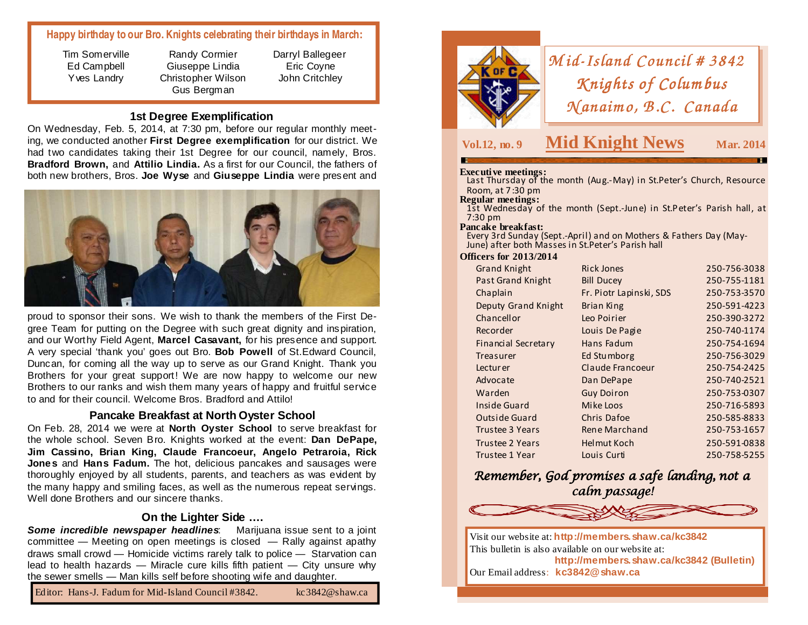# **Happy birthday to our Bro. Knights celebrating their birthdays in March:**

Tim Somerville Ed Campbell Yves Landry

Randy Cormier Giuseppe Lindia Christopher Wilson Gus Bergman

Darryl Ballegeer Eric Coyne John Critchley

# **1st Degree Exemplification**

 On Wednesday, Feb. 5, 2014, at 7:30 pm, before our regular monthly meeting, we conducted another **First Degree exemplification** for our district. We had two candidates taking their 1st Degree for our council, namely, Bros. **Bradford Brown,** and **Attilio Lindia.** As a first for our Council, the fathers of both new brothers, Bros. **Joe Wyse** and **Giuseppe Lindia** were present and



proud to sponsor their sons. We wish to thank the members of the First Degree Team for putting on the Degree with such great dignity and inspiration, and our Worthy Field Agent, **Marcel Casavant,** for his presence and support. A very special 'thank you' goes out Bro. **Bob Powell** of St.Edward Council, Duncan, for coming all the way up to serve as our Grand Knight. Thank you Brothers for your great support! We are now happy to welcome our new Brothers to our ranks and wish them many years of happy and fruitful service to and for their council. Welcome Bros. Bradford and Attilo!

# **Pancake Breakfast at North Oyster School**

 On Feb. 28, 2014 we were at **North Oyster School** to serve breakfast for the whole school. Seven Bro. Knights worked at the event: **Dan DePape, Jim Cassino, Brian King, Claude Francoeur, Angelo Petraroia, Rick Jones** and **Hans Fadum.** The hot, delicious pancakes and sausages were thoroughly enjoyed by all students, parents, and teachers as was evident by the many happy and smiling faces, as well as the numerous repeat servings. Well done Brothers and our sincere thanks.

## **On the Lighter Side ….**

Some incredible newspaper headlines: Marijuana issue sent to a joint committee — Meeting on open meetings is closed — Rally against apathy draws small crowd — Homicide victims rarely talk to police — Starvation can lead to health hazards — Miracle cure kills fifth patient — City unsure why the sewer smells — Man kills self before shooting wife and daughter.





# *<sup>M</sup> id-Island Council # <sup>3842</sup> Island # <sup>3842</sup> <sup>K</sup> nights of Colum bus K nights Columbus <sup>N</sup> anaim o, B.C. Canada N B.C. Canada*

# **Vol.12, no. 9 Mid Knight News**

**Mar. 2014** 

**Executive meetings:** Last Thursday of the month (Aug.-May) in St.Peter's Church, Resource Room, at 7:30 pm<br>**Regular meetings:** 

1st Wednesday of the month (Sept.-June) in St.Peter's Parish hall, at 7:30 pm

### **Pancake breakfast:**

 Every 3rd Sunday (Sept.-April) and on Mothers & Fathers Day (May-June) after both Masses in St.Peter's Parish hall

### **Officers for 2013/2014**

| <b>Grand Knight</b>      | <b>Rick Jones</b>       | 250-756-3038 |
|--------------------------|-------------------------|--------------|
| <b>Past Grand Knight</b> | <b>Bill Ducey</b>       | 250-755-1181 |
| Chaplain                 | Fr. Piotr Lapinski, SDS | 250-753-3570 |
| Deputy Grand Knight      | <b>Brian King</b>       | 250-591-4223 |
| Chancellor               | Leo Poirier             | 250-390-3272 |
| Recorder                 | Louis De Pagie          | 250-740-1174 |
| Financial Secretary      | Hans Fadum              | 250-754-1694 |
| Treasurer                | Ed Stumborg             | 250-756-3029 |
| Lecturer                 | Claude Francoeur        | 250-754-2425 |
| Advocate                 | Dan DePape              | 250-740-2521 |
| Warden                   | <b>Guy Doiron</b>       | 250-753-0307 |
| Inside Guard             | Mike Loos               | 250-716-5893 |
| <b>Outside Guard</b>     | Chris Dafoe             | 250-585-8833 |
| <b>Trustee 3 Years</b>   | Rene Marchand           | 250-753-1657 |
| <b>Trustee 2 Years</b>   | <b>Helmut Koch</b>      | 250-591-0838 |
| Trustee 1 Year           | Louis Curti             | 250-758-5255 |

# Remember, God promises a safe landing, not a calm passage!



Visit our website at: **http://members.shaw.ca/kc3842** This bulletin is also available on our website at: **http://members.shaw.ca/kc3842 (Bulletin)** Our Email address: **kc3842@shaw.ca**